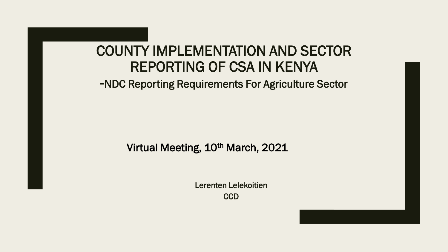#### COUNTY IMPLEMENTATION AND SECTOR REPORTING OF CSA IN KENYA

-NDC Reporting Requirements For Agriculture Sector

Virtual Meeting, 10<sup>th</sup> March, 2021

Lerenten Lelekoitien **CCD**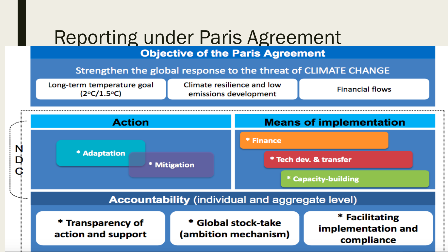#### **Reporting under Paris Agreement Objective of the Paris Agreement**

Strengthen the global response to the threat of CLIMATE CHANGE

Long-term temperature goal  $(2°C/1.5°C)$ 

Climate resilience and low emissions development

**Financial flows** 

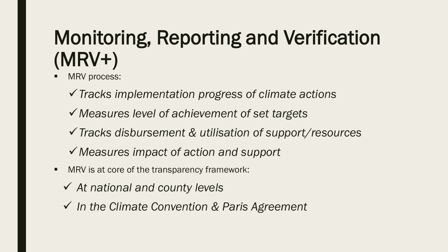# Monitoring, Reporting and Verification (MRV+)

- MRV process:
	- *Tracks implementation progress of climate actions*
	- *Measures level of achievement of set targets*
	- *Tracks disbursement & utilisation of support/resources*
	- *Measures impact of action and support*
- **MRV** is at core of the transparency framework:
	- *At national and county levels*
	- *In the Climate Convention & Paris Agreement*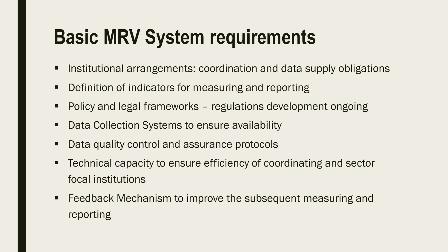# **Basic MRV System requirements**

- **Institutional arrangements: coordination and data supply obligations**
- Definition of indicators for measuring and reporting
- Policy and legal frameworks regulations development ongoing
- Data Collection Systems to ensure availability
- Data quality control and assurance protocols
- Technical capacity to ensure efficiency of coordinating and sector focal institutions
- **Feedback Mechanism to improve the subsequent measuring and** reporting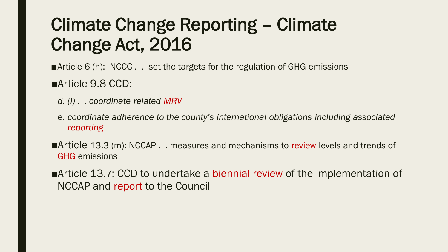### Climate Change Reporting – Climate Change Act, 2016

- ■Article 6 (h): NCCC . . set the targets for the regulation of GHG emissions ■Article 9.8 CCD:
	- *d. (i) . . coordinate related MRV*
	- *e. coordinate adherence to the county's international obligations including associated reporting*
- ■Article 13.3 (m): NCCAP . . measures and mechanisms to review levels and trends of GHG emissions
- ■Article 13.7: CCD to undertake a biennial review of the implementation of NCCAP and report to the Council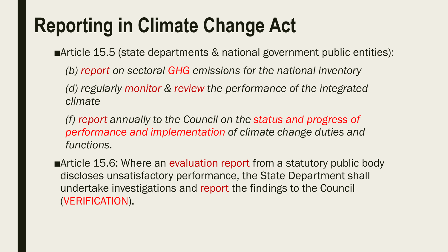# **Reporting in Climate Change Act**

■Article 15.5 (state departments & national government public entities):

*(b) report on sectoral GHG emissions for the national inventory*

*(d) regularly monitor & review the performance of the integrated climate*

*(f) report annually to the Council on the status and progress of performance and implementation of climate change duties and functions.*

■Article 15.6: Where an evaluation report from a statutory public body discloses unsatisfactory performance, the State Department shall undertake investigations and report the findings to the Council (VERIFICATION).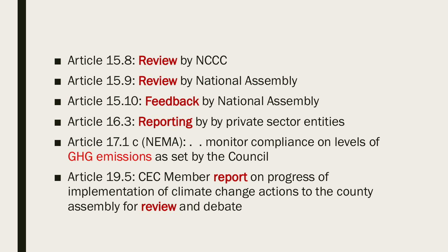- Article 15.8: Review by NCCC
- Article 15.9: Review by National Assembly
- Article 15.10: Feedback by National Assembly
- Article 16.3: Reporting by by private sector entities
- Article 17.1 c (NEMA): . . monitor compliance on levels of GHG emissions as set by the Council
- Article 19.5: CEC Member report on progress of implementation of climate change actions to the county assembly for **review** and debate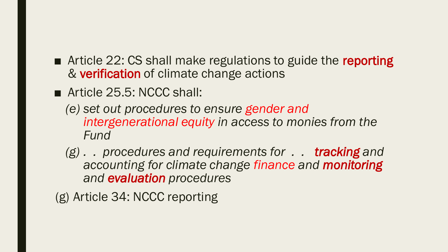- Article 22: CS shall make regulations to guide the reporting & verification of climate change actions
- Article 25.5: NCCC shall:
	- *(e) set out procedures to ensure gender and intergenerational equity in access to monies from the Fund*
	- *(g) . . procedures and requirements for . . tracking and accounting for climate change finance and monitoring and evaluation procedures*
- (g) Article 34: NCCC reporting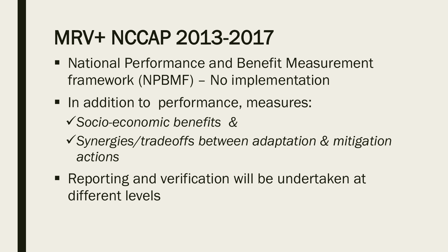## MRV+ NCCAP 2013-2017

- National Performance and Benefit Measurement framework (NPBMF) – No implementation
- In addition to performance, measures: *Socio-economic benefits &*
	- *Synergies/tradeoffs between adaptation & mitigation actions*
- Reporting and verification will be undertaken at different levels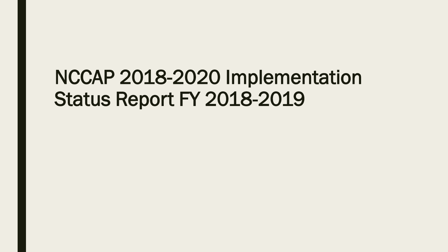## NCCAP 2018-2020 Implementation Status Report FY 2018-2019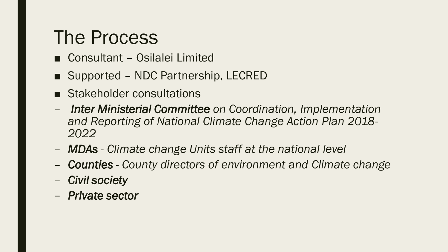### The Process

- Consultant Osilalei Limited
- Supported NDC Partnership, LECRED
- Stakeholder consultations
- *Inter Ministerial Committee on Coordination, Implementation and Reporting of National Climate Change Action Plan 2018- 2022*
- *MDAs - Climate change Units staff at the national level*
- *Counties - County directors of environment and Climate change*
- *Civil society*
- *Private sector*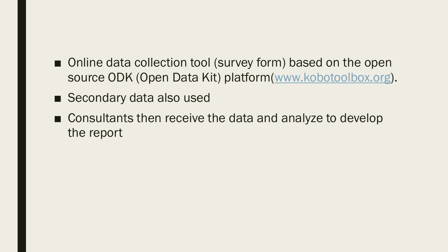- Online data collection tool (survey form) based on the open source ODK (Open Data Kit) platform[\(www.kobotoolbox.org\)](http://www.kobotoolbox.org/).
- Secondary data also used
- Consultants then receive the data and analyze to develop the report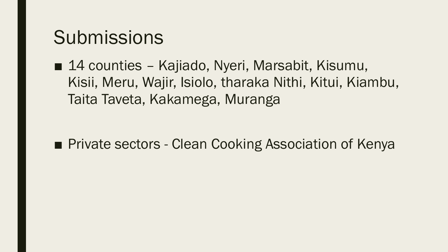#### **Submissions**

■ 14 counties - Kajiado, Nyeri, Marsabit, Kisumu, Kisii, Meru, Wajir, Isiolo, tharaka Nithi, Kitui, Kiambu, Taita Taveta, Kakamega, Muranga

■ Private sectors - Clean Cooking Association of Kenya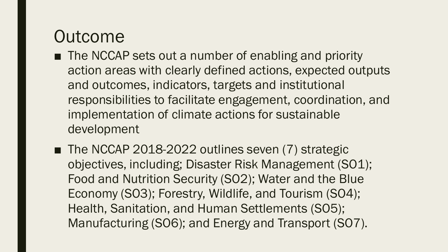#### Outcome

- The NCCAP sets out a number of enabling and priority action areas with clearly defined actions, expected outputs and outcomes, indicators, targets and institutional responsibilities to facilitate engagement, coordination, and implementation of climate actions for sustainable development
- The NCCAP 2018-2022 outlines seven (7) strategic objectives, including; Disaster Risk Management (SO1); Food and Nutrition Security (SO2); Water and the Blue Economy (SO3); Forestry, Wildlife, and Tourism (SO4); Health, Sanitation, and Human Settlements (SO5); Manufacturing (SO6); and Energy and Transport (SO7).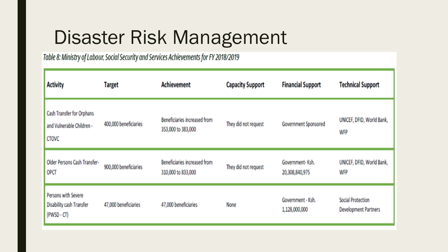## Disaster Risk Management

Table 8: Ministry of Labour, Social Security and Services Achievements for FY 2018/2019

| <b>Activity</b>                                                        | <b>Target</b>         | <b>Achievement</b><br><b>Capacity Support</b>             |                      | <b>Financial Support</b>           | <b>Technical Support</b>                                |
|------------------------------------------------------------------------|-----------------------|-----------------------------------------------------------|----------------------|------------------------------------|---------------------------------------------------------|
| Cash Transfer for Orphans<br>and Vulnerable Children -<br><b>CTOVC</b> | 400,000 beneficiaries | <b>Beneficiaries increased from</b><br>353,000 to 383,000 | They did not request | Government Sponsored               | UNICEF, DFID, World Bank,<br><b>WFP</b>                 |
| Older Persons Cash Transfer-<br>OPCT                                   | 900,000 beneficiaries | <b>Beneficiaries increased from</b><br>310,000 to 833,000 | They did not request | Government-Ksh.<br>20,308,840,975  | UNICEF, DFID, World Bank,<br><b>WFP</b>                 |
| Persons with Severe<br><b>Disability cash Transfer</b><br>(PWSD - CT)  | 47,000 beneficiaries  | 47,000 beneficiaries                                      | None                 | Government - Ksh.<br>1,128,000,000 | <b>Social Protection</b><br><b>Development Partners</b> |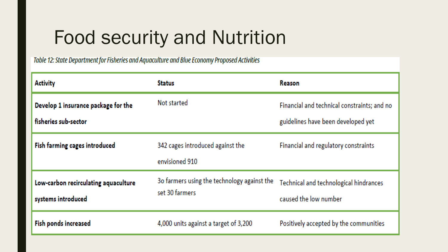## Food security and Nutrition

Table 12: State Department for Fisheries and Aquaculture and Blue Economy Proposed Activities

| <b>Activity</b>                                             | <b>Status</b>                                                 | Reason                                                                            |  |
|-------------------------------------------------------------|---------------------------------------------------------------|-----------------------------------------------------------------------------------|--|
| Develop 1 insurance package for the<br>fisheries sub-sector | Not started                                                   | Financial and technical constraints; and no<br>guidelines have been developed yet |  |
| Fish farming cages introduced                               | 342 cages introduced against the<br>envisioned 910            | Financial and regulatory constraints                                              |  |
| Low-carbon recirculating aquaculture<br>systems introduced  | 30 farmers using the technology against the<br>set 30 farmers | Technical and technological hindrances<br>caused the low number                   |  |
| <b>Fish ponds increased</b>                                 | 4,000 units against a target of 3,200                         | Positively accepted by the communities                                            |  |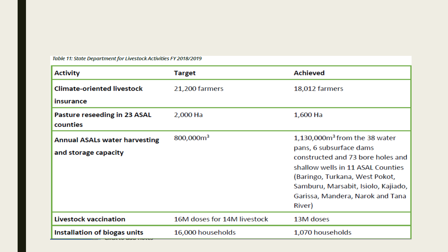Table 11: State Department for Livestock Activities FY 2018/2019

| <b>Activity</b>                                              | <b>Target</b>               | <b>Achieved</b>                                                                                                                                                                                                                                                          |
|--------------------------------------------------------------|-----------------------------|--------------------------------------------------------------------------------------------------------------------------------------------------------------------------------------------------------------------------------------------------------------------------|
| <b>Climate-oriented livestock</b><br><b>insurance</b>        | 21,200 farmers              | 18,012 farmers                                                                                                                                                                                                                                                           |
| Pasture reseeding in 23 ASAL<br>counties                     | 2,000 Ha                    | 1,600 Ha                                                                                                                                                                                                                                                                 |
| <b>Annual ASALs water harvesting</b><br>and storage capacity | 800,000m <sup>3</sup>       | $1,130,000$ m <sup>3</sup> from the 38 water<br>pans, 6 subsurface dams<br>constructed and 73 bore holes and<br>shallow wells in 11 ASAL Counties<br>(Baringo, Turkana, West Pokot,<br>Samburu, Marsabit, Isiolo, Kajiado,<br>Garissa, Mandera, Narok and Tana<br>River) |
| <b>Livestock vaccination</b>                                 | 16M doses for 14M livestock | 13M doses                                                                                                                                                                                                                                                                |
| Installation of biogas units                                 | 16,000 households           | 1,070 households                                                                                                                                                                                                                                                         |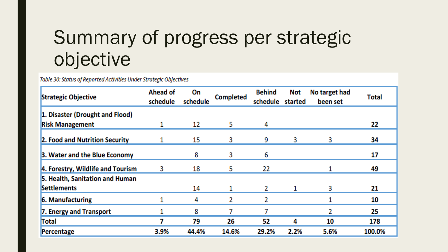## Summary of progress per strategic objective

Table 30: Status of Reported Activities Under Strategic Objectives

| <b>Strategic Objective</b>                            | <b>Ahead of</b><br>schedule | On<br>schedule | <b>Completed</b> | <b>Behind</b><br>schedule | Not<br>started | No target had<br>been set | <b>Total</b> |
|-------------------------------------------------------|-----------------------------|----------------|------------------|---------------------------|----------------|---------------------------|--------------|
| 1. Disaster (Drought and Flood)                       |                             |                |                  |                           |                |                           |              |
| <b>Risk Management</b>                                |                             | 12             | 5                | 4                         |                |                           | 22           |
| 2. Food and Nutrition Security                        |                             | 15             | 3                | 9                         | 3              | 3                         | 34           |
| 3. Water and the Blue Economy                         |                             | 8              | 3                | 6                         |                |                           | 17           |
| 4. Forestry, Wildlife and Tourism                     | 3                           | 18             | 5                | 22                        |                |                           | 49           |
| 5. Health, Sanitation and Human<br><b>Settlements</b> |                             | 14             |                  | 2                         | 1              | 3                         | 21           |
| 6. Manufacturing                                      |                             | 4              | 2                | 2                         |                |                           | 10           |
| 7. Energy and Transport                               |                             | 8              |                  |                           |                |                           | 25           |
| Total                                                 | 7                           | 79             | 26               | 52                        | 4              | 10                        | 178          |
| Percentage                                            | 3.9%                        | 44.4%          | 14.6%            | 29.2%                     | 2.2%           | 5.6%                      | 100.0%       |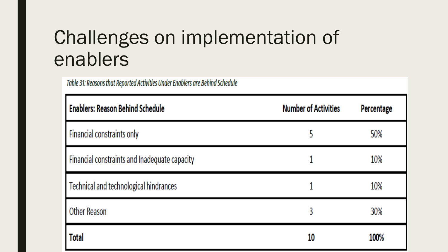## Challenges on implementation of enablers

Table 31: Reasons that Reported Activities Under Enablers are Behind Schedule

| <b>Enablers: Reason Behind Schedule</b>       | <b>Number of Activities</b> | Percentage |
|-----------------------------------------------|-----------------------------|------------|
| Financial constraints only                    | 5                           | 50%        |
| Financial constraints and Inadequate capacity |                             | 10%        |
| Technical and technological hindrances        |                             | 10%        |
| Other Reason                                  | 3                           | 30%        |
| <b>Total</b>                                  | 10                          | 100%       |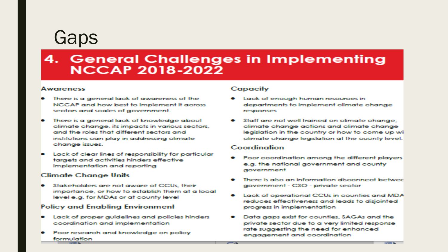#### Gaps

#### 4. General Challenges in Implementing **NCCAP 2018-2022**

#### Awareness

- There is a general lack of awareness of the NCCAP and how best to implement it across sectors and scales of government.
- There is a general lack of knowledge about climate change, its impacts in various sectors, and the roles that different sectors and institutions can play in addressina climate change issues.
- Lack of clear lines of responsibility for particular targets and activities hinders effective implementation and reporting

#### **Climate Change Units**

Stakeholders are not aware of CCUs, their importance, or how to establish them at a local level e.g. for MDAs or at county level

#### **Policy and Enabling Environment**

- Lack of proper guidelines and policies hinders coordination and implementation
- Poor research and knowledge on policy formulation

#### **Capacity**

- Lack of enough human resources in departments to implement climate change responses
- Staff are not well trained on climate change. climate change actions and climate change legislation in the country or how to come up wi climate change legislation at the county level.

#### Coordination

- Poor coordination among the different players e.g. the national government and county government
- There is also an information disconnect betwee government - CSO - private sector
- Lack of operational CCUs in counties and MDA reduces effectiveness and leads to disjointed progress in implementation
- Data gaps exist for counties, SAGAs and the private sector due to a very limited response rate suggesting the need for enhanced engagement and coordination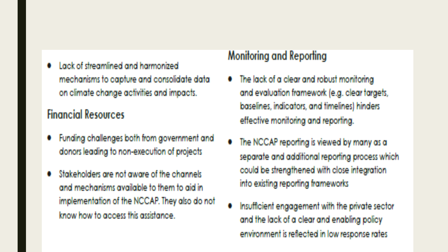• Lack of streamlined and harmonized mechanisms to capture and consolidate data on climate change activities and impacts.

#### **Financial Resources**

- Funding challenges both from government and donors leading to non-execution of projects
- Stakeholders are not aware of the channels and mechanisms available to them to aid in implementation of the NCCAP. They also do not know how to access this assistance.

#### Monitoring and Reporting

- The lack of a clear and robust monitoring and evaluation framework (e.g. clear targets, baselines, indicators, and timelines) hinders effective monitoring and reporting.
- The NCCAP reporting is viewed by many as a separate and additional reporting process which could be strengthened with close integration into existing reporting frameworks
- Insufficient engagement with the private sector and the lack of a clear and enabling policy environment is reflected in low response rates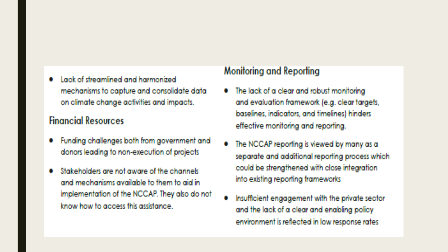Lack of streamlined and harmonized mechanisms to capture and consolidate data on climate change activities and impacts.

#### **Financial Resources**

- Funding challenges both from government and donors leading to non-execution of projects
- Stakeholders are not aware of the channels and mechanisms available to them to aid in implementation of the NCCAP. They also do not know how to access this assistance

#### Monitoring and Reporting

- The lack of a clear and robust monitoring and evaluation framework (e.g. clear targets, baselines, indicators, and timelines) hinders effective monitoring and reporting.
- The NCCAP reporting is viewed by many as a separate and additional reporting process which could be strengthened with close integration into existing reporting frameworks
- Insufficient engagement with the private sector and the lack of a clear and enabling policy environment is reflected in low response rates